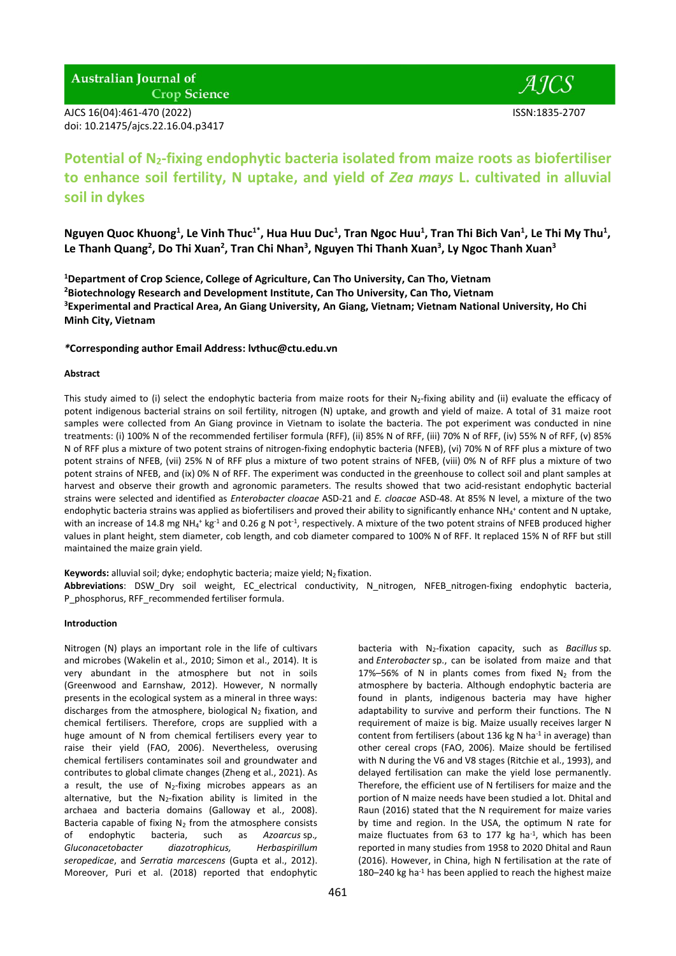**Australian Journal of Crop Science** 

AJCS 16(04):461-470 (2022) ISSN:1835-2707 doi: 10.21475/ajcs.22.16.04.p3417

# **Potential of N2-fixing endophytic bacteria isolated from maize roots as biofertiliser to enhance soil fertility, N uptake, and yield of** *Zea mays* **L. cultivated in alluvial soil in dykes**

Nguyen Quoc Khuong<sup>1</sup>, Le Vinh Thuc<sup>1\*</sup>, Hua Huu Duc<sup>1</sup>, Tran Ngoc Huu<sup>1</sup>, Tran Thi Bich Van<sup>1</sup>, Le Thi My Thu<sup>1</sup>, Le Thanh Quang<sup>2</sup>, Do Thi Xuan<sup>2</sup>, Tran Chi Nhan<sup>3</sup>, Nguyen Thi Thanh Xuan<sup>3</sup>, Ly Ngoc Thanh Xuan<sup>3</sup>

**Department of Crop Science, College of Agriculture, Can Tho University, Can Tho, Vietnam Biotechnology Research and Development Institute, Can Tho University, Can Tho, Vietnam Experimental and Practical Area, An Giang University, An Giang, Vietnam; Vietnam National University, Ho Chi Minh City, Vietnam**

#### *\****Corresponding author Email Address: lvthuc@ctu.edu.vn**

## **Abstract**

This study aimed to (i) select the endophytic bacteria from maize roots for their N<sub>2</sub>-fixing ability and (ii) evaluate the efficacy of potent indigenous bacterial strains on soil fertility, nitrogen (N) uptake, and growth and yield of maize. A total of 31 maize root samples were collected from An Giang province in Vietnam to isolate the bacteria. The pot experiment was conducted in nine treatments: (i) 100% N of the recommended fertiliser formula (RFF), (ii) 85% N of RFF, (iii) 70% N of RFF, (iv) 55% N of RFF, (v) 85% N of RFF plus a mixture of two potent strains of nitrogen-fixing endophytic bacteria (NFEB), (vi) 70% N of RFF plus a mixture of two potent strains of NFEB, (vii) 25% N of RFF plus a mixture of two potent strains of NFEB, (viii) 0% N of RFF plus a mixture of two potent strains of NFEB, and (ix) 0% N of RFF. The experiment was conducted in the greenhouse to collect soil and plant samples at harvest and observe their growth and agronomic parameters. The results showed that two acid-resistant endophytic bacterial strains were selected and identified as *Enterobacter cloacae* ASD-21 and *E. cloacae* ASD-48. At 85% N level, a mixture of the two endophytic bacteria strains was applied as biofertilisers and proved their ability to significantly enhance NH<sub>4</sub>+ content and N uptake, with an increase of 14.8 mg NH<sub>4</sub><sup>+</sup> kg<sup>-1</sup> and 0.26 g N pot<sup>-1</sup>, respectively. A mixture of the two potent strains of NFEB produced higher values in plant height, stem diameter, cob length, and cob diameter compared to 100% N of RFF. It replaced 15% N of RFF but still maintained the maize grain yield.

**Keywords:** alluvial soil; dyke; endophytic bacteria; maize yield; N<sub>2</sub> fixation.

**Abbreviations**: DSW\_Dry soil weight, EC\_electrical conductivity, N\_nitrogen, NFEB\_nitrogen-fixing endophytic bacteria, P\_phosphorus, RFF\_recommended fertiliser formula.

#### **Introduction**

Nitrogen (N) plays an important role in the life of cultivars and microbes (Wakelin et al., 2010; Simon et al., 2014). It is very abundant in the atmosphere but not in soils (Greenwood and Earnshaw, 2012). However, N normally presents in the ecological system as a mineral in three ways: discharges from the atmosphere, biological  $N_2$  fixation, and chemical fertilisers. Therefore, crops are supplied with a huge amount of N from chemical fertilisers every year to raise their yield (FAO, 2006). Nevertheless, overusing chemical fertilisers contaminates soil and groundwater and contributes to global climate changes (Zheng et al., 2021). As a result, the use of  $N_2$ -fixing microbes appears as an alternative, but the  $N_2$ -fixation ability is limited in the archaea and bacteria domains (Galloway et al., 2008). Bacteria capable of fixing  $N_2$  from the atmosphere consists of endophytic bacteria, such as *Azoarcus* sp.*, Gluconacetobacter diazotrophicus, Herbaspirillum seropedicae*, and *Serratia marcescens* (Gupta et al., 2012). Moreover, Puri et al. (2018) reported that endophytic

bacteria with N2-fixation capacity, such as *Bacillus* sp. and *Enterobacter* sp., can be isolated from maize and that 17%–56% of N in plants comes from fixed  $N_2$  from the atmosphere by bacteria. Although endophytic bacteria are found in plants, indigenous bacteria may have higher adaptability to survive and perform their functions. The N requirement of maize is big. Maize usually receives larger N content from fertilisers (about 136 kg N ha<sup>-1</sup> in average) than other cereal crops (FAO, 2006). Maize should be fertilised with N during the V6 and V8 stages (Ritchie et al., 1993), and delayed fertilisation can make the yield lose permanently. Therefore, the efficient use of N fertilisers for maize and the portion of N maize needs have been studied a lot. Dhital and Raun (2016) stated that the N requirement for maize varies by time and region. In the USA, the optimum N rate for maize fluctuates from 63 to 177 kg ha<sup>-1</sup>, which has been reported in many studies from 1958 to 2020 Dhital and Raun (2016). However, in China, high N fertilisation at the rate of 180-240 kg ha<sup>-1</sup> has been applied to reach the highest maize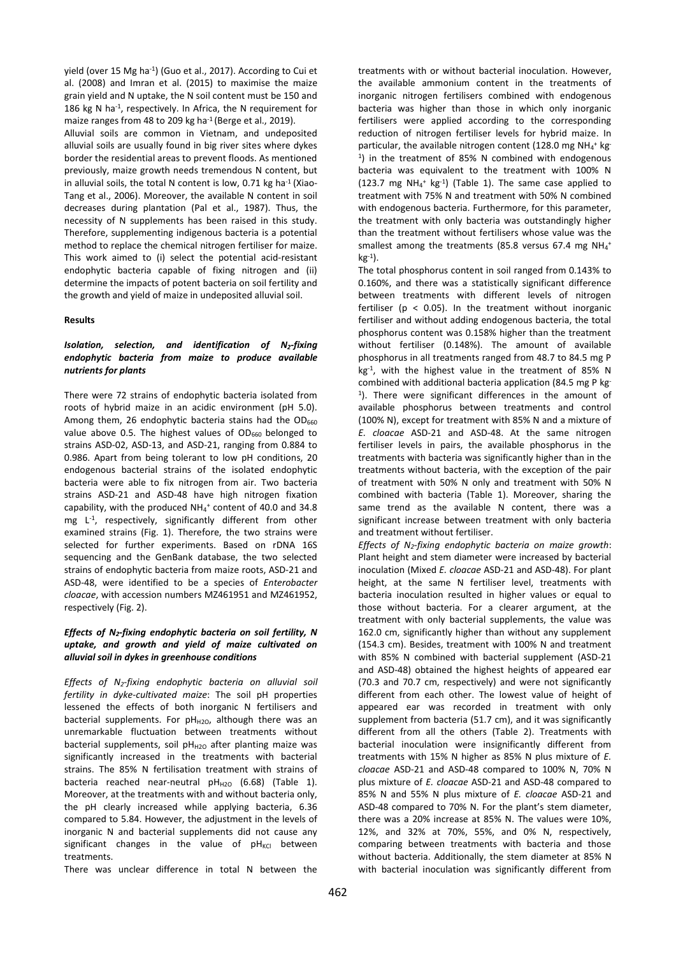yield (over 15 Mg ha<sup>-1</sup>) (Guo et al., 2017). According to Cui et al. (2008) and Imran et al. (2015) to maximise the maize grain yield and N uptake, the N soil content must be 150 and 186 kg N ha-1 , respectively. In Africa, the N requirement for maize ranges from 48 to 209 kg ha<sup>-1</sup> (Berge et al., 2019).

Alluvial soils are common in Vietnam, and undeposited alluvial soils are usually found in big river sites where dykes border the residential areas to prevent floods. As mentioned previously, maize growth needs tremendous N content, but in alluvial soils, the total N content is low,  $0.71$  kg ha<sup>-1</sup> (Xiao-Tang et al., 2006). Moreover, the available N content in soil decreases during plantation (Pal et al., 1987). Thus, the necessity of N supplements has been raised in this study. Therefore, supplementing indigenous bacteria is a potential method to replace the chemical nitrogen fertiliser for maize. This work aimed to (i) select the potential acid-resistant endophytic bacteria capable of fixing nitrogen and (ii) determine the impacts of potent bacteria on soil fertility and the growth and yield of maize in undeposited alluvial soil.

# **Results**

## *Isolation, selection, and identification of N2-fixing endophytic bacteria from maize to produce available nutrients for plants*

There were 72 strains of endophytic bacteria isolated from roots of hybrid maize in an acidic environment (pH 5.0). Among them, 26 endophytic bacteria stains had the  $OD<sub>660</sub>$ value above 0.5. The highest values of  $OD_{660}$  belonged to strains ASD-02, ASD-13, and ASD-21, ranging from 0.884 to 0.986. Apart from being tolerant to low pH conditions, 20 endogenous bacterial strains of the isolated endophytic bacteria were able to fix nitrogen from air. Two bacteria strains ASD-21 and ASD-48 have high nitrogen fixation capability, with the produced  $NH_4$ <sup>+</sup> content of 40.0 and 34.8 mg L -1 , respectively, significantly different from other examined strains (Fig. 1). Therefore, the two strains were selected for further experiments. Based on rDNA 16S sequencing and the GenBank database, the two selected strains of endophytic bacteria from maize roots, ASD-21 and ASD-48, were identified to be a species of *Enterobacter cloacae*, with accession numbers MZ461951 and MZ461952, respectively (Fig. 2).

# *Effects of N2-fixing endophytic bacteria on soil fertility, N uptake, and growth and yield of maize cultivated on alluvial soil in dykes in greenhouse conditions*

*Effects of N2-fixing endophytic bacteria on alluvial soil fertility in dyke-cultivated maize*: The soil pH properties lessened the effects of both inorganic N fertilisers and bacterial supplements. For  $pH_{H2O}$ , although there was an unremarkable fluctuation between treatments without bacterial supplements, soil  $pH_{H2O}$  after planting maize was significantly increased in the treatments with bacterial strains. The 85% N fertilisation treatment with strains of bacteria reached near-neutral  $pH_{H2O}$  (6.68) (Table 1). Moreover, at the treatments with and without bacteria only, the pH clearly increased while applying bacteria, 6.36 compared to 5.84. However, the adjustment in the levels of inorganic N and bacterial supplements did not cause any significant changes in the value of  $pH_{\text{KCI}}$  between treatments.

There was unclear difference in total N between the

treatments with or without bacterial inoculation. However, the available ammonium content in the treatments of inorganic nitrogen fertilisers combined with endogenous bacteria was higher than those in which only inorganic fertilisers were applied according to the corresponding reduction of nitrogen fertiliser levels for hybrid maize. In particular, the available nitrogen content (128.0 mg NH<sub>4</sub><sup>+</sup> kg<sup>-</sup> 1 ) in the treatment of 85% N combined with endogenous bacteria was equivalent to the treatment with 100% N  $(123.7 \text{ mg } NH_{4}^{+} \text{ kg}^{-1})$  (Table 1). The same case applied to treatment with 75% N and treatment with 50% N combined with endogenous bacteria. Furthermore, for this parameter, the treatment with only bacteria was outstandingly higher than the treatment without fertilisers whose value was the smallest among the treatments (85.8 versus 67.4 mg NH<sub>4</sub><sup>+</sup> kg-1 ).

The total phosphorus content in soil ranged from 0.143% to 0.160%, and there was a statistically significant difference between treatments with different levels of nitrogen fertiliser ( $p < 0.05$ ). In the treatment without inorganic fertiliser and without adding endogenous bacteria, the total phosphorus content was 0.158% higher than the treatment without fertiliser (0.148%). The amount of available phosphorus in all treatments ranged from 48.7 to 84.5 mg P kg-1 , with the highest value in the treatment of 85% N combined with additional bacteria application (84.5 mg P kg-1 ). There were significant differences in the amount of available phosphorus between treatments and control (100% N), except for treatment with 85% N and a mixture of *E. cloacae* ASD-21 and ASD-48. At the same nitrogen fertiliser levels in pairs, the available phosphorus in the treatments with bacteria was significantly higher than in the treatments without bacteria, with the exception of the pair of treatment with 50% N only and treatment with 50% N combined with bacteria (Table 1). Moreover, sharing the same trend as the available N content, there was a significant increase between treatment with only bacteria and treatment without fertiliser.

*Effects of N2-fixing endophytic bacteria on maize growth*: Plant height and stem diameter were increased by bacterial inoculation (Mixed *E. cloacae* ASD-21 and ASD-48). For plant height, at the same N fertiliser level, treatments with bacteria inoculation resulted in higher values or equal to those without bacteria. For a clearer argument, at the treatment with only bacterial supplements, the value was 162.0 cm, significantly higher than without any supplement (154.3 cm). Besides, treatment with 100% N and treatment with 85% N combined with bacterial supplement (ASD-21 and ASD-48) obtained the highest heights of appeared ear (70.3 and 70.7 cm, respectively) and were not significantly different from each other. The lowest value of height of appeared ear was recorded in treatment with only supplement from bacteria (51.7 cm), and it was significantly different from all the others (Table 2). Treatments with bacterial inoculation were insignificantly different from treatments with 15% N higher as 85% N plus mixture of *E. cloacae* ASD-21 and ASD-48 compared to 100% N, 70% N plus mixture of *E. cloacae* ASD-21 and ASD-48 compared to 85% N and 55% N plus mixture of *E. cloacae* ASD-21 and ASD-48 compared to 70% N. For the plant's stem diameter, there was a 20% increase at 85% N. The values were 10%, 12%, and 32% at 70%, 55%, and 0% N, respectively, comparing between treatments with bacteria and those without bacteria. Additionally, the stem diameter at 85% N with bacterial inoculation was significantly different from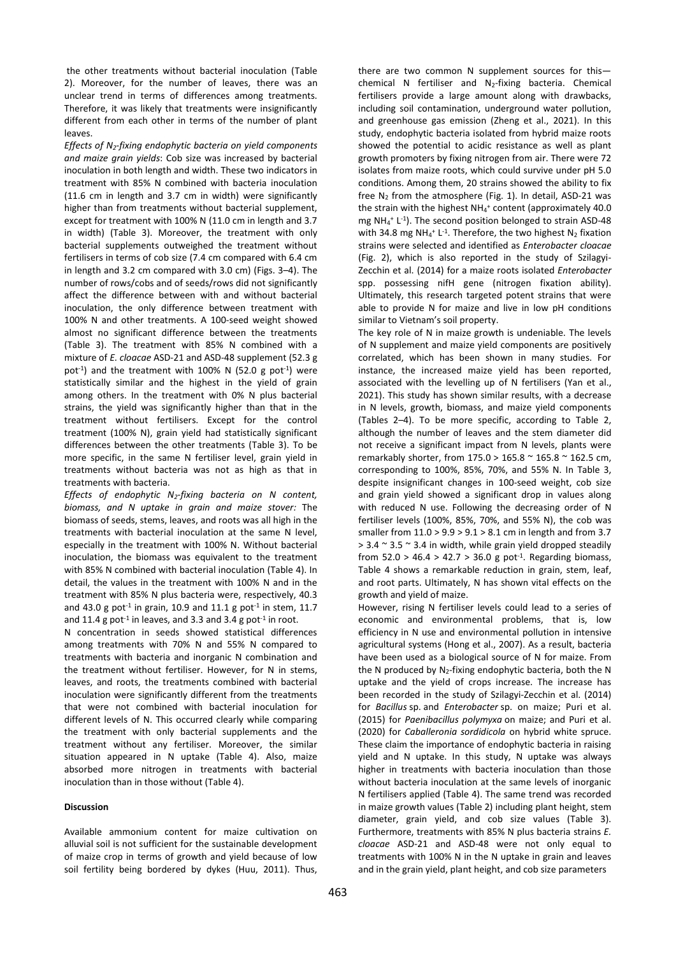the other treatments without bacterial inoculation (Table 2). Moreover, for the number of leaves, there was an unclear trend in terms of differences among treatments. Therefore, it was likely that treatments were insignificantly different from each other in terms of the number of plant leaves.

*Effects of N2-fixing endophytic bacteria on yield components and maize grain yields*: Cob size was increased by bacterial inoculation in both length and width. These two indicators in treatment with 85% N combined with bacteria inoculation (11.6 cm in length and 3.7 cm in width) were significantly higher than from treatments without bacterial supplement, except for treatment with 100% N (11.0 cm in length and 3.7 in width) (Table 3). Moreover, the treatment with only bacterial supplements outweighed the treatment without fertilisers in terms of cob size (7.4 cm compared with 6.4 cm in length and 3.2 cm compared with 3.0 cm) (Figs. 3–4). The number of rows/cobs and of seeds/rows did not significantly affect the difference between with and without bacterial inoculation, the only difference between treatment with 100% N and other treatments. A 100-seed weight showed almost no significant difference between the treatments (Table 3). The treatment with 85% N combined with a mixture of *E. cloacae* ASD-21 and ASD-48 supplement (52.3 g pot<sup>-1</sup>) and the treatment with 100% N (52.0 g pot<sup>-1</sup>) were statistically similar and the highest in the yield of grain among others. In the treatment with 0% N plus bacterial strains, the yield was significantly higher than that in the treatment without fertilisers. Except for the control treatment (100% N), grain yield had statistically significant differences between the other treatments (Table 3). To be more specific, in the same N fertiliser level, grain yield in treatments without bacteria was not as high as that in treatments with bacteria.

*Effects of endophytic N2-fixing bacteria on N content, biomass, and N uptake in grain and maize stover:* The biomass of seeds, stems, leaves, and roots was all high in the treatments with bacterial inoculation at the same N level, especially in the treatment with 100% N. Without bacterial inoculation, the biomass was equivalent to the treatment with 85% N combined with bacterial inoculation (Table 4). In detail, the values in the treatment with 100% N and in the treatment with 85% N plus bacteria were, respectively, 40.3 and 43.0 g pot<sup>-1</sup> in grain, 10.9 and 11.1 g pot<sup>-1</sup> in stem, 11.7 and 11.4 g pot<sup>-1</sup> in leaves, and 3.3 and 3.4 g pot<sup>-1</sup> in root.

N concentration in seeds showed statistical differences among treatments with 70% N and 55% N compared to treatments with bacteria and inorganic N combination and the treatment without fertiliser. However, for N in stems, leaves, and roots, the treatments combined with bacterial inoculation were significantly different from the treatments that were not combined with bacterial inoculation for different levels of N. This occurred clearly while comparing the treatment with only bacterial supplements and the treatment without any fertiliser. Moreover, the similar situation appeared in N uptake (Table 4). Also, maize absorbed more nitrogen in treatments with bacterial inoculation than in those without (Table 4).

#### **Discussion**

Available ammonium content for maize cultivation on alluvial soil is not sufficient for the sustainable development of maize crop in terms of growth and yield because of low soil fertility being bordered by dykes (Huu, 2011). Thus, there are two common N supplement sources for this chemical N fertiliser and N2-fixing bacteria. Chemical fertilisers provide a large amount along with drawbacks, including soil contamination, underground water pollution, and greenhouse gas emission (Zheng et al., 2021). In this study, endophytic bacteria isolated from hybrid maize roots showed the potential to acidic resistance as well as plant growth promoters by fixing nitrogen from air. There were 72 isolates from maize roots, which could survive under pH 5.0 conditions. Among them, 20 strains showed the ability to fix free  $N_2$  from the atmosphere (Fig. 1). In detail, ASD-21 was the strain with the highest NH<sub>4</sub><sup>+</sup> content (approximately 40.0 mg  $NH_4$ <sup>+</sup> L<sup>-1</sup>). The second position belonged to strain ASD-48 with 34.8 mg NH<sub>4</sub><sup>+</sup> L<sup>-1</sup>. Therefore, the two highest N<sub>2</sub> fixation strains were selected and identified as *Enterobacter cloacae* (Fig. 2), which is also reported in the study of Szilagyi-Zecchin et al. (2014) for a maize roots isolated *Enterobacter* spp. possessing nifH gene (nitrogen fixation ability). Ultimately, this research targeted potent strains that were able to provide N for maize and live in low pH conditions similar to Vietnam's soil property.

The key role of N in maize growth is undeniable. The levels of N supplement and maize yield components are positively correlated, which has been shown in many studies. For instance, the increased maize yield has been reported, associated with the levelling up of N fertilisers (Yan et al., 2021). This study has shown similar results, with a decrease in N levels, growth, biomass, and maize yield components (Tables 2–4). To be more specific, according to Table 2, although the number of leaves and the stem diameter did not receive a significant impact from N levels, plants were remarkably shorter, from 175.0 > 165.8 ~ 165.8 ~ 162.5 cm, corresponding to 100%, 85%, 70%, and 55% N. In Table 3, despite insignificant changes in 100-seed weight, cob size and grain yield showed a significant drop in values along with reduced N use. Following the decreasing order of N fertiliser levels (100%, 85%, 70%, and 55% N), the cob was smaller from  $11.0 > 9.9 > 9.1 > 8.1$  cm in length and from 3.7  $>$  3.4  $\sim$  3.5  $\sim$  3.4 in width, while grain yield dropped steadily from  $52.0 > 46.4 > 42.7 > 36.0$  g pot<sup>-1</sup>. Regarding biomass, Table 4 shows a remarkable reduction in grain, stem, leaf, and root parts. Ultimately, N has shown vital effects on the growth and yield of maize.

However, rising N fertiliser levels could lead to a series of economic and environmental problems, that is, low efficiency in N use and environmental pollution in intensive agricultural systems (Hong et al., 2007). As a result, bacteria have been used as a biological source of N for maize. From the N produced by  $N_2$ -fixing endophytic bacteria, both the N uptake and the yield of crops increase. The increase has been recorded in the study of Szilagyi-Zecchin et al. (2014) for *Bacillus* sp. and *Enterobacter* sp. on maize; Puri et al. (2015) for *Paenibacillus polymyxa* on maize; and Puri et al. (2020) for *Caballeronia sordidicola* on hybrid white spruce. These claim the importance of endophytic bacteria in raising yield and N uptake. In this study, N uptake was always higher in treatments with bacteria inoculation than those without bacteria inoculation at the same levels of inorganic N fertilisers applied (Table 4). The same trend was recorded in maize growth values (Table 2) including plant height, stem diameter, grain yield, and cob size values (Table 3). Furthermore, treatments with 85% N plus bacteria strains *E. cloacae* ASD-21 and ASD-48 were not only equal to treatments with 100% N in the N uptake in grain and leaves and in the grain yield, plant height, and cob size parameters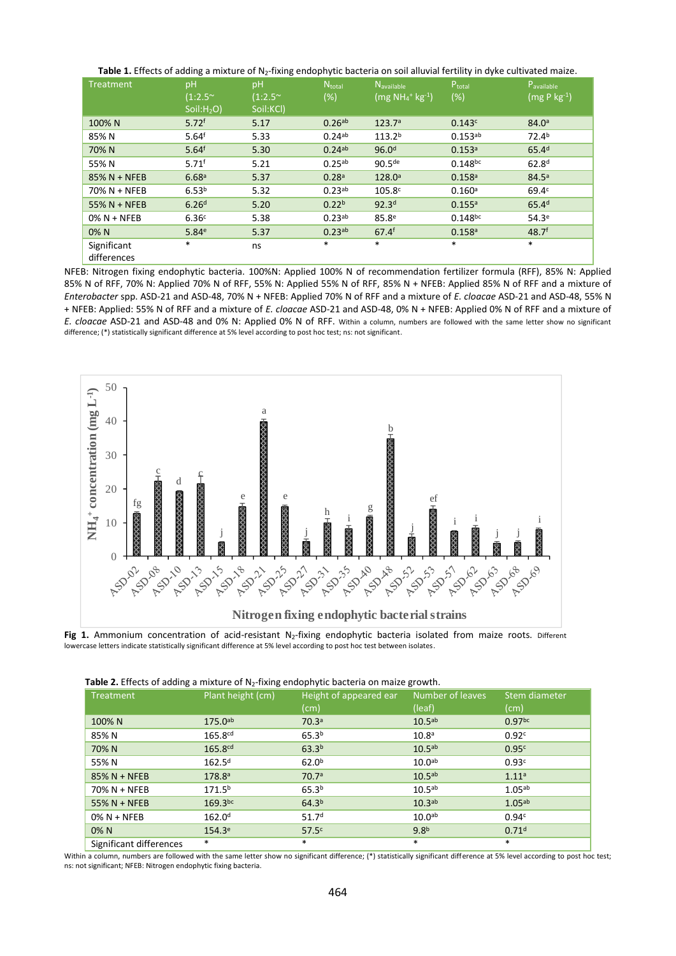|  |  |  | Table 1. Effects of adding a mixture of N <sub>2</sub> -fixing endophytic bacteria on soil alluvial fertility in dyke cultivated maize. |  |
|--|--|--|-----------------------------------------------------------------------------------------------------------------------------------------|--|
|--|--|--|-----------------------------------------------------------------------------------------------------------------------------------------|--|

| Treatment                  | pH<br>$(1:2.5^{\sim})$<br>Soil:H <sub>2</sub> O) | pH<br>$(1:2.5^{\sim})$<br>Soil:KCl) | $N_{\text{total}}$<br>(%) | N <sub>available</sub><br>$(mg NH_4$ <sup>+</sup> $kg$ <sup>-1</sup> ) | Ptotal<br>$(\%)$     | Pavailable<br>(mg P kg <sup>-1</sup> ) |
|----------------------------|--------------------------------------------------|-------------------------------------|---------------------------|------------------------------------------------------------------------|----------------------|----------------------------------------|
| 100% N                     | 5.72 <sup>f</sup>                                | 5.17                                | $0.26$ <sup>ab</sup>      | 123.7 <sup>a</sup>                                                     | 0.143c               | 84.0 <sup>a</sup>                      |
| 85% N                      | 5.64 <sup>f</sup>                                | 5.33                                | $0.24^{ab}$               | 113.2 <sup>b</sup>                                                     | $0.153^{ab}$         | 72.4 <sup>b</sup>                      |
| 70% N                      | 5.64 <sup>f</sup>                                | 5.30                                | $0.24$ <sup>ab</sup>      | 96.0 <sup>d</sup>                                                      | 0.153a               | 65.4 <sup>d</sup>                      |
| 55% N                      | $5.71^{f}$                                       | 5.21                                | 0.25 <sup>ab</sup>        | 90.5 <sup>de</sup>                                                     | $0.148^{bc}$         | 62.8 <sup>d</sup>                      |
| 85% N + NFEB               | 6.68 <sup>a</sup>                                | 5.37                                | 0.28 <sup>a</sup>         | 128.0 <sup>a</sup>                                                     | $0.158$ <sup>a</sup> | 84.5 <sup>a</sup>                      |
| 70% N + NFEB               | 6.53 <sup>b</sup>                                | 5.32                                | 0.23 <sup>ab</sup>        | 105.8 <sup>c</sup>                                                     | 0.160a               | 69.4 <sup>c</sup>                      |
| 55% N + NFEB               | 6.26 <sup>d</sup>                                | 5.20                                | 0.22 <sup>b</sup>         | 92.3 <sup>d</sup>                                                      | 0.155a               | 65.4 <sup>d</sup>                      |
| $0\%$ N + NFEB             | 6.36 <sup>c</sup>                                | 5.38                                | 0.23 <sup>ab</sup>        | 85.8 <sup>e</sup>                                                      | $0.148^{bc}$         | 54.3 <sup>e</sup>                      |
| 0% N                       | 5.84 <sup>e</sup>                                | 5.37                                | 0.23 <sup>ab</sup>        | 67.4 <sup>f</sup>                                                      | $0.158$ <sup>a</sup> | 48.7 <sup>f</sup>                      |
| Significant<br>differences | $\ast$                                           | ns                                  | $\ast$                    | $\ast$                                                                 | $\ast$               | $\ast$                                 |

NFEB: Nitrogen fixing endophytic bacteria. 100%N: Applied 100% N of recommendation fertilizer formula (RFF), 85% N: Applied 85% N of RFF, 70% N: Applied 70% N of RFF, 55% N: Applied 55% N of RFF, 85% N + NFEB: Applied 85% N of RFF and a mixture of *Enterobacter* spp. ASD-21 and ASD-48, 70% N + NFEB: Applied 70% N of RFF and a mixture of *E. cloacae* ASD-21 and ASD-48, 55% N + NFEB: Applied: 55% N of RFF and a mixture of *E. cloacae* ASD-21 and ASD-48, 0% N + NFEB: Applied 0% N of RFF and a mixture of *E. cloacae* ASD-21 and ASD-48 and 0% N: Applied 0% N of RFF. Within a column, numbers are followed with the same letter show no significant difference; (\*) statistically significant difference at 5% level according to post hoc test; ns: not significant.



Fig 1. Ammonium concentration of acid-resistant N<sub>2</sub>-fixing endophytic bacteria isolated from maize roots. Different lowercase letters indicate statistically significant difference at 5% level according to post hoc test between isolates.

|                         |                     | <b>Table 2.</b> Lifects of additing a finature of typ-fixing endopinytic bacteria on marze growth. |                    |                    |
|-------------------------|---------------------|----------------------------------------------------------------------------------------------------|--------------------|--------------------|
| Treatment               | Plant height (cm)   | Height of appeared ear                                                                             | Number of leaves   | Stem diameter      |
|                         |                     | (cm)                                                                                               | (leaf)             | (cm)               |
| 100% N                  | $175.0^{ab}$        | 70.3 <sup>a</sup>                                                                                  | 10.5 <sup>ab</sup> | 0.97 <sup>bc</sup> |
| 85% N                   | 165.8 <sup>cd</sup> | 65.3 <sup>b</sup>                                                                                  | 10.8 <sup>a</sup>  | 0.92c              |
| 70% N                   | 165.8cd             | 63.3 <sup>b</sup>                                                                                  | 10.5 <sup>ab</sup> | 0.95c              |
| 55% N                   | 162.5 <sup>d</sup>  | 62.0 <sup>b</sup>                                                                                  | 10.0 <sup>ab</sup> | 0.93c              |
| $85\% N + NFEB$         | 178.8a              | 70.7a                                                                                              | 10.5 <sup>ab</sup> | 1.11a              |
| 70% N + NFEB            | 171.5 <sup>b</sup>  | 65.3 <sup>b</sup>                                                                                  | 10.5 <sup>ab</sup> | 1.05 <sup>ab</sup> |
| 55% N + NFEB            | $169.3^{bc}$        | 64.3 <sup>b</sup>                                                                                  | 10.3 <sub>ab</sub> | 1.05ab             |
| $0\%$ N + NFEB          | 162.0 <sup>d</sup>  | 51.7 <sup>d</sup>                                                                                  | 10.0 <sub>ab</sub> | 0.94c              |
| $0\%$ N                 | 154.3 <sup>e</sup>  | 57.5c                                                                                              | 9.8 <sup>b</sup>   | 0.71 <sup>d</sup>  |
| Significant differences | $\ast$              | $\ast$                                                                                             | $\ast$             | $\ast$             |

 **Table 2.** Effects of adding a mixture of N2-fixing endophytic bacteria on maize growth.

Within a column, numbers are followed with the same letter show no significant difference; (\*) statistically significant difference at 5% level according to post hoc test; ns: not significant; NFEB: Nitrogen endophytic fixing bacteria.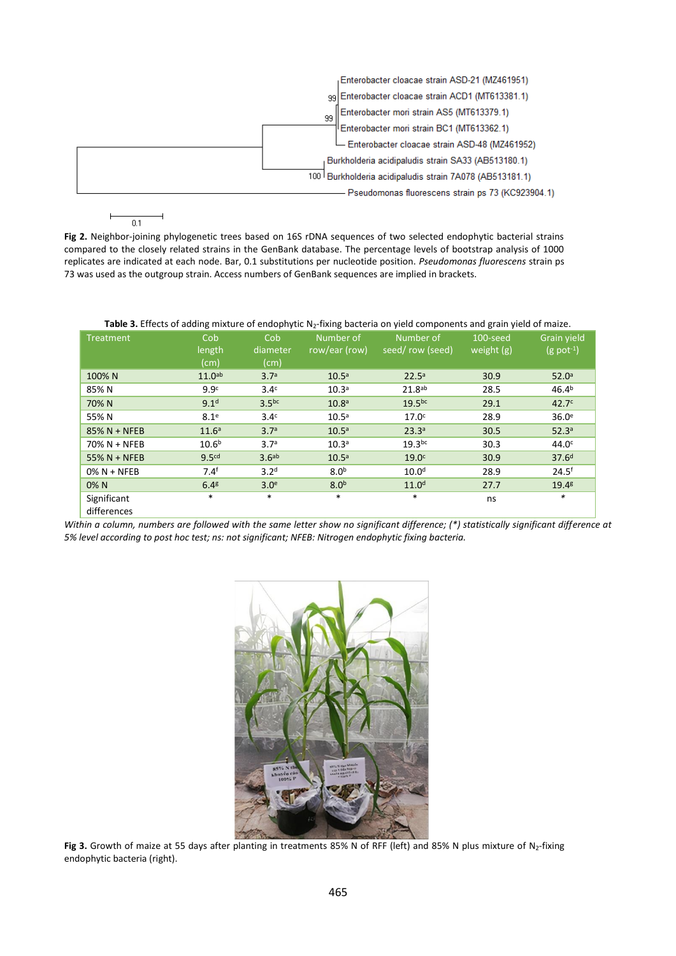

**Fig 2.** Neighbor-joining phylogenetic trees based on 16S rDNA sequences of two selected endophytic bacterial strains compared to the closely related strains in the GenBank database. The percentage levels of bootstrap analysis of 1000 replicates are indicated at each node. Bar, 0.1 substitutions per nucleotide position. *Pseudomonas fluorescens* strain ps 73 was used as the outgroup strain. Access numbers of GenBank sequences are implied in brackets.

Table 3. Effects of adding mixture of endophytic N<sub>2</sub>-fixing bacteria on yield components and grain yield of maize.

| Treatment                  | Cob<br>length<br>(cm) | Cob<br>diameter<br>(cm) | Number of<br>row/ear (row) | Number of<br>seed/row (seed) | 100-seed<br>weight $(g)$ | <b>Grain vield</b><br>$(g$ pot <sup>-1</sup> ) |
|----------------------------|-----------------------|-------------------------|----------------------------|------------------------------|--------------------------|------------------------------------------------|
| 100% N                     | 11.0 <sup>ab</sup>    | 3.7 <sup>a</sup>        | 10.5 <sup>a</sup>          | $22.5^a$                     | 30.9                     | 52.0 <sup>a</sup>                              |
| 85% N                      | 9.9 <sup>c</sup>      | 3.4 <sup>c</sup>        | 10.3 <sup>a</sup>          | 21.8 <sup>ab</sup>           | 28.5                     | 46.4 <sup>b</sup>                              |
| 70% N                      | 9.1 <sup>d</sup>      | 3.5 <sup>bc</sup>       | 10.8 <sup>a</sup>          | 19.5 <sup>bc</sup>           | 29.1                     | 42.7 <sup>c</sup>                              |
| 55% N                      | 8.1 <sup>e</sup>      | 3.4 <sup>c</sup>        | 10.5 <sup>a</sup>          | 17.0 <sup>c</sup>            | 28.9                     | 36.0 <sup>e</sup>                              |
| 85% N + NFEB               | 11.6 <sup>a</sup>     | 3.7 <sup>a</sup>        | 10.5 <sup>a</sup>          | 23.3 <sup>a</sup>            | 30.5                     | 52.3 <sup>a</sup>                              |
| 70% N + NFEB               | 10.6 <sup>b</sup>     | 3.7 <sup>a</sup>        | 10.3 <sup>a</sup>          | 19.3 <sup>bc</sup>           | 30.3                     | 44.0 <sup>c</sup>                              |
| 55% N + NFEB               | 9.5 <sup>cd</sup>     | 3.6 <sup>ab</sup>       | 10.5 <sup>a</sup>          | 19.0 <sup>c</sup>            | 30.9                     | 37.6 <sup>d</sup>                              |
| $0\% N + NFEB$             | 7.4 <sup>f</sup>      | 3.2 <sup>d</sup>        | 8.0 <sup>b</sup>           | 10.0 <sup>d</sup>            | 28.9                     | 24.5 <sup>f</sup>                              |
| 0% N                       | 6.4 <sup>g</sup>      | 3.0 <sup>e</sup>        | 8.0 <sup>b</sup>           | 11.0 <sup>d</sup>            | 27.7                     | 19.4 <sup>g</sup>                              |
| Significant<br>differences | $\ast$                | *                       | $\ast$                     | $\ast$                       | ns                       | $\ast$                                         |

*Within a column, numbers are followed with the same letter show no significant difference; (\*) statistically significant difference at 5% level according to post hoc test; ns: not significant; NFEB: Nitrogen endophytic fixing bacteria.* 



**Fig 3.** Growth of maize at 55 days after planting in treatments 85% N of RFF (left) and 85% N plus mixture of N2-fixing endophytic bacteria (right).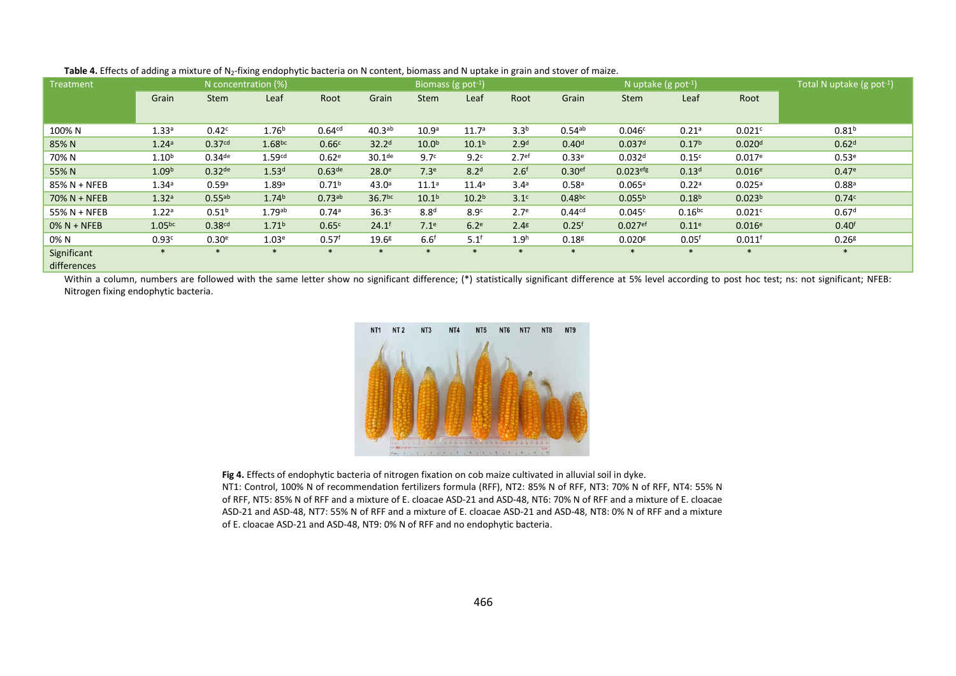| <b>Treatment</b> |                    | N concentration (%)  |                      |                    |                    | Biomass (g pot <sup>-1</sup> ) |                   |                   |                    | N uptake (g pot <sup>-1</sup> ) |                    |                    | Total N uptake $(g$ pot <sup>-1</sup> ) |
|------------------|--------------------|----------------------|----------------------|--------------------|--------------------|--------------------------------|-------------------|-------------------|--------------------|---------------------------------|--------------------|--------------------|-----------------------------------------|
|                  | Grain              | <b>Stem</b>          | Leaf                 | Root               | Grain              | <b>Stem</b>                    | Leaf              | Root              | Grain              | <b>Stem</b>                     | Leaf               | Root               |                                         |
|                  |                    |                      |                      |                    |                    |                                |                   |                   |                    |                                 |                    |                    |                                         |
| 100% N           | 1.33 <sup>a</sup>  | 0.42c                | 1.76 <sup>b</sup>    | 0.64 <sup>cd</sup> | $40.3^{ab}$        | 10.9 <sup>a</sup>              | 11.7 <sup>a</sup> | 3.3 <sup>b</sup>  | $0.54^{ab}$        | 0.046c                          | 0.21a              | 0.021c             | 0.81 <sup>b</sup>                       |
| 85% N            | 1.24 <sup>a</sup>  | 0.37 <sup>cd</sup>   | 1.68 <sup>bc</sup>   | 0.66c              | 32.2 <sup>d</sup>  | 10.0 <sup>b</sup>              | 10.1 <sup>b</sup> | 2.9 <sup>d</sup>  | 0.40 <sup>d</sup>  | 0.037 <sup>d</sup>              | 0.17 <sup>b</sup>  | 0.020 <sup>d</sup> | 0.62 <sup>d</sup>                       |
| 70% N            | $1.10^{b}$         | $0.34$ <sup>de</sup> | 1.59 <sup>cd</sup>   | 0.62 <sup>e</sup>  | 30.1 <sup>de</sup> | 9.7 <sup>c</sup>               | 9.2 <sup>c</sup>  | 2.7 <sup>ef</sup> | 0.33 <sup>e</sup>  | 0.032 <sup>d</sup>              | 0.15 <sup>c</sup>  | 0.017e             | 0.53 <sup>e</sup>                       |
| 55% N            | 1.09 <sup>b</sup>  | $0.32$ de            | 1.53 <sup>d</sup>    | 0.63 <sup>de</sup> | 28.0 <sup>e</sup>  | 7.3 <sup>e</sup>               | 8.2 <sup>d</sup>  | 2.6 <sup>f</sup>  | 0.30 <sup>ef</sup> | $0.023$ <sup>efg</sup>          | 0.13 <sup>d</sup>  | 0.016e             | 0.47e                                   |
| 85% N + NFEB     | 1.34 <sup>a</sup>  | 0.59a                | 1.89a                | 0.71 <sup>b</sup>  | 43.0 <sup>a</sup>  | $11.1^a$                       | $11.4^a$          | 3.4 <sup>a</sup>  | 0.58 <sup>a</sup>  | 0.065a                          | 0.22a              | 0.025a             | 0.88 <sup>a</sup>                       |
| $70\% N + NFEB$  | 1.32a              | 0.55ab               | 1.74 <sup>b</sup>    | 0.73ab             | 36.7 <sup>bc</sup> | 10.1 <sup>b</sup>              | 10.2 <sup>b</sup> | 3.1 <sup>c</sup>  | 0.48 <sub>bc</sub> | 0.055 <sup>b</sup>              | 0.18 <sup>b</sup>  | 0.023 <sup>b</sup> | 0.74c                                   |
| 55% N + NFEB     | 1.22a              | 0.51 <sup>b</sup>    | $1.79$ <sup>ab</sup> | 0.74a              | 36.3 <sup>c</sup>  | 8.8 <sup>d</sup>               | 8.9 <sup>c</sup>  | 2.7 <sup>e</sup>  | 0.44 <sup>cd</sup> | 0.045c                          | 0.16 <sup>bc</sup> | 0.021c             | 0.67 <sup>d</sup>                       |
| $0\% N + NFEB$   | 1.05 <sup>bc</sup> | 0.38 <sup>cd</sup>   | 1.71 <sup>b</sup>    | 0.65c              | $24.1^{f}$         | 7.1 <sup>e</sup>               | 6.2 <sup>e</sup>  | 2.4 <sup>g</sup>  | 0.25 <sup>f</sup>  | $0.027$ <sup>ef</sup>           | 0.11 <sup>e</sup>  | 0.016e             | 0.40 <sup>f</sup>                       |
| 0% N             | 0.93c              | 0.30 <sup>e</sup>    | 1.03 <sup>e</sup>    | 0.57 <sup>f</sup>  | 19.6 <sup>g</sup>  | 6.6 <sup>f</sup>               | $5.1^f$           | 1.9 <sup>h</sup>  | 0.18 <sup>g</sup>  | 0.020 <sup>g</sup>              | 0.05 <sup>f</sup>  | 0.011 <sup>f</sup> | 0.26 <sup>g</sup>                       |
| Significant      | $\ast$             | $\ast$               | $\ast$               | $\ast$             | $*$                | $\ast$                         | $\ast$            | $\ast$            | $\ast$             | $\ast$                          | $\ast$             | $\ast$             | $\ast$                                  |
| differences      |                    |                      |                      |                    |                    |                                |                   |                   |                    |                                 |                    |                    |                                         |

Table 4. Effects of adding a mixture of N<sub>2</sub>-fixing endophytic bacteria on N content, biomass and N uptake in grain and stover of maize.

Within a column, numbers are followed with the same letter show no significant difference; (\*) statistically significant difference at 5% level according to post hoc test; ns: not significant; NFEB: Nitrogen fixing endophytic bacteria.



**Fig 4.** Effects of endophytic bacteria of nitrogen fixation on cob maize cultivated in alluvial soil in dyke. NT1: Control, 100% N of recommendation fertilizers formula (RFF), NT2: 85% N of RFF, NT3: 70% N of RFF, NT4: 55% N of RFF, NT5: 85% N of RFF and a mixture of E. cloacae ASD-21 and ASD-48, NT6: 70% N of RFF and a mixture of E. cloacae ASD-21 and ASD-48, NT7: 55% N of RFF and a mixture of E. cloacae ASD-21 and ASD-48, NT8: 0% N of RFF and a mixture of E. cloacae ASD-21 and ASD-48, NT9: 0% N of RFF and no endophytic bacteria.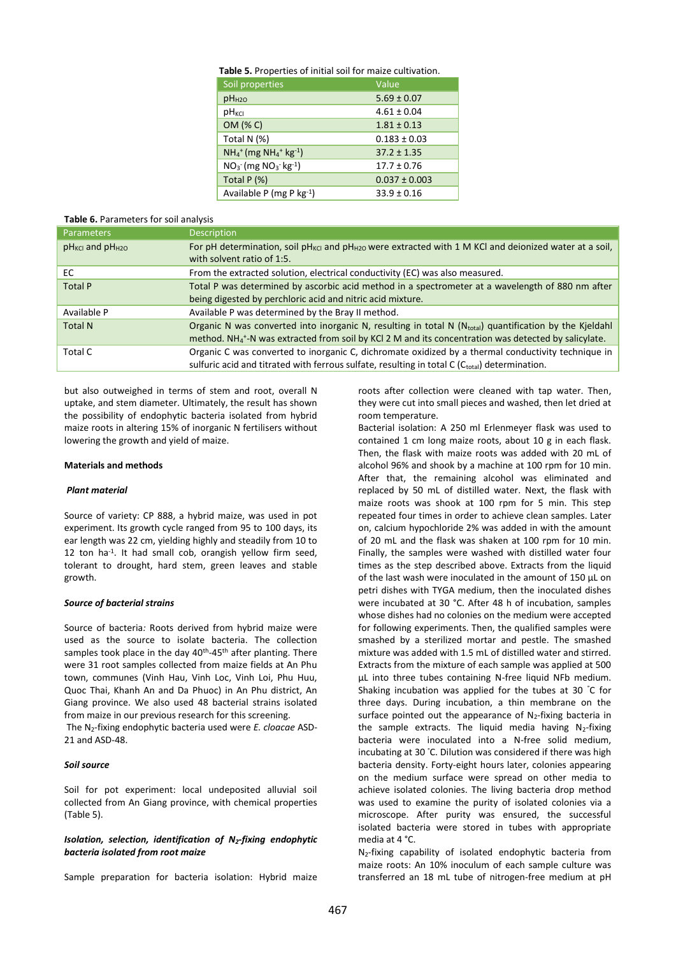| Table 5. Properties of initial soil for maize cultivation. |
|------------------------------------------------------------|
|------------------------------------------------------------|

| Soil properties                                                         | Value             |
|-------------------------------------------------------------------------|-------------------|
| pH <sub>H2O</sub>                                                       | $5.69 \pm 0.07$   |
| $pH_{KCl}$                                                              | $4.61 \pm 0.04$   |
| OM (% C)                                                                | $1.81 \pm 0.13$   |
| Total N (%)                                                             | $0.183 \pm 0.03$  |
| $NH_4$ <sup>+</sup> (mg NH <sub>4</sub> <sup>+</sup> kg <sup>-1</sup> ) | $37.2 \pm 1.35$   |
| $NO_3$ (mg $NO_3$ kg <sup>-1</sup> )                                    | $17.7 \pm 0.76$   |
| Total $P(%)$                                                            | $0.037 \pm 0.003$ |
| Available P (mg P kg-1)                                                 | $33.9 \pm 0.16$   |

# **Table 6.** Parameters for soil analysis

| <b>Parameters</b>         | <b>Description</b>                                                                                                                                                                                                                     |
|---------------------------|----------------------------------------------------------------------------------------------------------------------------------------------------------------------------------------------------------------------------------------|
| $pH_{KCl}$ and $pH_{H2O}$ | For pH determination, soil pH <sub>KCI</sub> and pH <sub>H2O</sub> were extracted with 1 M KCI and deionized water at a soil,<br>with solvent ratio of 1:5.                                                                            |
| EC.                       | From the extracted solution, electrical conductivity (EC) was also measured.                                                                                                                                                           |
| <b>Total P</b>            | Total P was determined by ascorbic acid method in a spectrometer at a wavelength of 880 nm after<br>being digested by perchloric acid and nitric acid mixture.                                                                         |
| Available P               | Available P was determined by the Bray II method.                                                                                                                                                                                      |
| <b>Total N</b>            | Organic N was converted into inorganic N, resulting in total N (Ntotal) quantification by the Kjeldahl<br>method. NH <sub>4</sub> <sup>+</sup> -N was extracted from soil by KCl 2 M and its concentration was detected by salicylate. |
| Total C                   | Organic C was converted to inorganic C, dichromate oxidized by a thermal conductivity technique in<br>sulfuric acid and titrated with ferrous sulfate, resulting in total C ( $C_{total}$ ) determination.                             |

but also outweighed in terms of stem and root, overall N uptake, and stem diameter. Ultimately, the result has shown the possibility of endophytic bacteria isolated from hybrid maize roots in altering 15% of inorganic N fertilisers without lowering the growth and yield of maize.

#### **Materials and methods**

#### *Plant material*

Source of variety: CP 888, a hybrid maize, was used in pot experiment. Its growth cycle ranged from 95 to 100 days, its ear length was 22 cm, yielding highly and steadily from 10 to 12 ton ha-1 . It had small cob, orangish yellow firm seed, tolerant to drought, hard stem, green leaves and stable growth.

### *Source of bacterial strains*

Source of bacteria*:* Roots derived from hybrid maize were used as the source to isolate bacteria. The collection samples took place in the day 40<sup>th</sup>-45<sup>th</sup> after planting. There were 31 root samples collected from maize fields at An Phu town, communes (Vinh Hau, Vinh Loc, Vinh Loi, Phu Huu, Quoc Thai, Khanh An and Da Phuoc) in An Phu district, An Giang province. We also used 48 bacterial strains isolated from maize in our previous research for this screening.

The N2-fixing endophytic bacteria used were *E. cloacae* ASD-21 and ASD-48.

# *Soil source*

Soil for pot experiment: local undeposited alluvial soil collected from An Giang province, with chemical properties (Table 5).

## *Isolation, selection, identification of N2-fixing endophytic bacteria isolated from root maize*

Sample preparation for bacteria isolation: Hybrid maize

roots after collection were cleaned with tap water. Then, they were cut into small pieces and washed, then let dried at room temperature.

Bacterial isolation: A 250 ml Erlenmeyer flask was used to contained 1 cm long maize roots, about 10 g in each flask. Then, the flask with maize roots was added with 20 mL of alcohol 96% and shook by a machine at 100 rpm for 10 min. After that, the remaining alcohol was eliminated and replaced by 50 mL of distilled water. Next, the flask with maize roots was shook at 100 rpm for 5 min. This step repeated four times in order to achieve clean samples. Later on, calcium hypochloride 2% was added in with the amount of 20 mL and the flask was shaken at 100 rpm for 10 min. Finally, the samples were washed with distilled water four times as the step described above. Extracts from the liquid of the last wash were inoculated in the amount of 150 µL on petri dishes with TYGA medium, then the inoculated dishes were incubated at 30 °C. After 48 h of incubation, samples whose dishes had no colonies on the medium were accepted for following experiments. Then, the qualified samples were smashed by a sterilized mortar and pestle. The smashed mixture was added with 1.5 mL of distilled water and stirred. Extracts from the mixture of each sample was applied at 500 µL into three tubes containing N-free liquid NFb medium. Shaking incubation was applied for the tubes at 30 °C for three days. During incubation, a thin membrane on the surface pointed out the appearance of  $N_2$ -fixing bacteria in the sample extracts. The liquid media having  $N_2$ -fixing bacteria were inoculated into a N-free solid medium, incubating at 30 °C. Dilution was considered if there was high bacteria density. Forty-eight hours later, colonies appearing on the medium surface were spread on other media to achieve isolated colonies. The living bacteria drop method was used to examine the purity of isolated colonies via a microscope. After purity was ensured, the successful isolated bacteria were stored in tubes with appropriate media at 4 °C.

N<sub>2</sub>-fixing capability of isolated endophytic bacteria from maize roots: An 10% inoculum of each sample culture was transferred an 18 mL tube of nitrogen-free medium at pH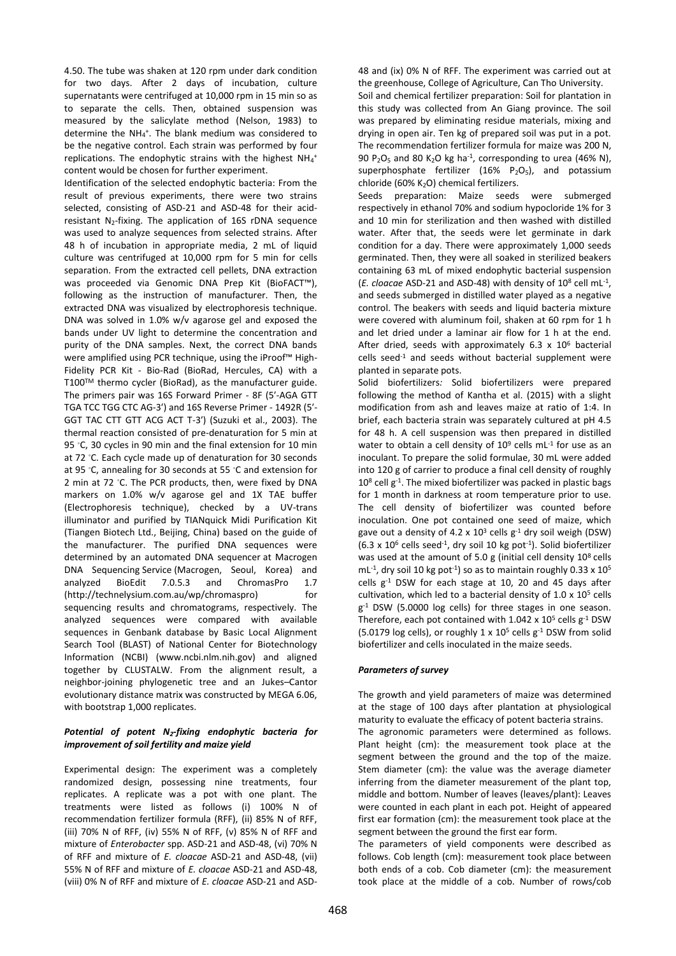4.50. The tube was shaken at 120 rpm under dark condition for two days. After 2 days of incubation, culture supernatants were centrifuged at 10,000 rpm in 15 min so as to separate the cells. Then, obtained suspension was measured by the salicylate method (Nelson, 1983) to determine the NH<sub>4</sub><sup>+</sup>. The blank medium was considered to be the negative control. Each strain was performed by four replications. The endophytic strains with the highest  $NH_4$ <sup>+</sup> content would be chosen for further experiment.

Identification of the selected endophytic bacteria: From the result of previous experiments, there were two strains selected, consisting of ASD-21 and ASD-48 for their acidresistant  $N_2$ -fixing. The application of 16S rDNA sequence was used to analyze sequences from selected strains. After 48 h of incubation in appropriate media, 2 mL of liquid culture was centrifuged at 10,000 rpm for 5 min for cells separation. From the extracted cell pellets, DNA extraction was proceeded via Genomic DNA Prep Kit (BioFACT™), following as the instruction of manufacturer. Then, the extracted DNA was visualized by electrophoresis technique. DNA was solved in 1.0% w/v agarose gel and exposed the bands under UV light to determine the concentration and purity of the DNA samples. Next, the correct DNA bands were amplified using PCR technique, using the iProof™ High-Fidelity PCR Kit - Bio-Rad (BioRad, Hercules, CA) with a T100TM thermo cycler (BioRad), as the manufacturer guide. The primers pair was 16S Forward Primer - 8F (5′-AGA GTT TGA TCC TGG CTC AG-3′) and 16S Reverse Primer - 1492R (5′- GGT TAC CTT GTT ACG ACT T-3′) (Suzuki et al., 2003). The thermal reaction consisted of pre-denaturation for 5 min at 95 ℃, 30 cycles in 90 min and the final extension for 10 min at 72 ◦C. Each cycle made up of denaturation for 30 seconds at 95 ◦C, annealing for 30 seconds at 55 ◦C and extension for 2 min at 72 ℃. The PCR products, then, were fixed by DNA markers on 1.0% w/v agarose gel and 1X TAE buffer (Electrophoresis technique), checked by a UV-trans illuminator and purified by TIANquick Midi Purification Kit (Tiangen Biotech Ltd., Beijing, China) based on the guide of the manufacturer. The purified DNA sequences were determined by an automated DNA sequencer at Macrogen DNA Sequencing Service (Macrogen, Seoul, Korea) and analyzed BioEdit 7.0.5.3 and ChromasPro 1.7 (http://technelysium.com.au/wp/chromaspro) for sequencing results and chromatograms, respectively. The analyzed sequences were compared with available sequences in Genbank database by Basic Local Alignment Search Tool (BLAST) of National Center for Biotechnology Information (NCBI) (www.ncbi.nlm.nih.gov) and aligned together by CLUSTALW. From the alignment result, a neighbor-joining phylogenetic tree and an Jukes–Cantor evolutionary distance matrix was constructed by MEGA 6.06, with bootstrap 1,000 replicates.

# *Potential of potent N2-fixing endophytic bacteria for improvement of soil fertility and maize yield*

Experimental design: The experiment was a completely randomized design, possessing nine treatments, four replicates. A replicate was a pot with one plant. The treatments were listed as follows (i) 100% N of recommendation fertilizer formula (RFF), (ii) 85% N of RFF, (iii) 70% N of RFF, (iv) 55% N of RFF, (v) 85% N of RFF and mixture of *Enterobacter* spp. ASD-21 and ASD-48, (vi) 70% N of RFF and mixture of *E. cloacae* ASD-21 and ASD-48, (vii) 55% N of RFF and mixture of *E. cloacae* ASD-21 and ASD-48, (viii) 0% N of RFF and mixture of *E. cloacae* ASD-21 and ASD-

48 and (ix) 0% N of RFF. The experiment was carried out at the greenhouse, College of Agriculture, Can Tho University. Soil and chemical fertilizer preparation: Soil for plantation in this study was collected from An Giang province. The soil was prepared by eliminating residue materials, mixing and drying in open air. Ten kg of prepared soil was put in a pot. The recommendation fertilizer formula for maize was 200 N, 90  $P_2O_5$  and 80 K<sub>2</sub>O kg ha<sup>-1</sup>, corresponding to urea (46% N), superphosphate fertilizer  $(16\% \text{ P}_2\text{O}_5)$ , and potassium chloride (60% $K<sub>2</sub>O$ ) chemical fertilizers.

Seeds preparation: Maize seeds were submerged respectively in ethanol 70% and sodium hypocloride 1% for 3 and 10 min for sterilization and then washed with distilled water. After that, the seeds were let germinate in dark condition for a day. There were approximately 1,000 seeds germinated. Then, they were all soaked in sterilized beakers containing 63 mL of mixed endophytic bacterial suspension (*E. cloacae* ASD-21 and ASD-48) with density of 10<sup>8</sup> cell mL-1 , and seeds submerged in distilled water played as a negative control. The beakers with seeds and liquid bacteria mixture were covered with aluminum foil, shaken at 60 rpm for 1 h and let dried under a laminar air flow for 1 h at the end. After dried, seeds with approximately  $6.3 \times 10^6$  bacterial cells seed-1 and seeds without bacterial supplement were planted in separate pots.

Solid biofertilizers*:* Solid biofertilizers were prepared following the method of Kantha et al. (2015) with a slight modification from ash and leaves maize at ratio of 1:4. In brief, each bacteria strain was separately cultured at pH 4.5 for 48 h. A cell suspension was then prepared in distilled water to obtain a cell density of  $10^9$  cells mL<sup>-1</sup> for use as an inoculant. To prepare the solid formulae, 30 mL were added into 120 g of carrier to produce a final cell density of roughly 10<sup>8</sup> cell g<sup>-1</sup>. The mixed biofertilizer was packed in plastic bags for 1 month in darkness at room temperature prior to use. The cell density of biofertilizer was counted before inoculation. One pot contained one seed of maize, which gave out a density of 4.2 x  $10^3$  cells  $g^{-1}$  dry soil weigh (DSW)  $(6.3 \times 10^6 \text{ cells seed}^{-1}, \text{ dry soil 10 kg pot}^{-1})$ . Solid biofertilizer was used at the amount of 5.0 g (initial cell density  $10^8$  cells mL<sup>-1</sup>, dry soil 10 kg pot<sup>-1</sup>) so as to maintain roughly 0.33 x  $10<sup>5</sup>$ cells  $g^{-1}$  DSW for each stage at 10, 20 and 45 days after cultivation, which led to a bacterial density of  $1.0 \times 10^5$  cells g<sup>-1</sup> DSW (5.0000 log cells) for three stages in one season. Therefore, each pot contained with 1.042 x  $10^5$  cells  $g^{-1}$  DSW (5.0179 log cells), or roughly 1 x  $10^5$  cells  $g^{-1}$  DSW from solid biofertilizer and cells inoculated in the maize seeds.

## *Parameters of survey*

The growth and yield parameters of maize was determined at the stage of 100 days after plantation at physiological maturity to evaluate the efficacy of potent bacteria strains.

The agronomic parameters were determined as follows. Plant height (cm): the measurement took place at the segment between the ground and the top of the maize. Stem diameter (cm): the value was the average diameter inferring from the diameter measurement of the plant top, middle and bottom. Number of leaves (leaves/plant): Leaves were counted in each plant in each pot. Height of appeared first ear formation (cm): the measurement took place at the segment between the ground the first ear form.

The parameters of yield components were described as follows. Cob length (cm): measurement took place between both ends of a cob. Cob diameter (cm): the measurement took place at the middle of a cob. Number of rows/cob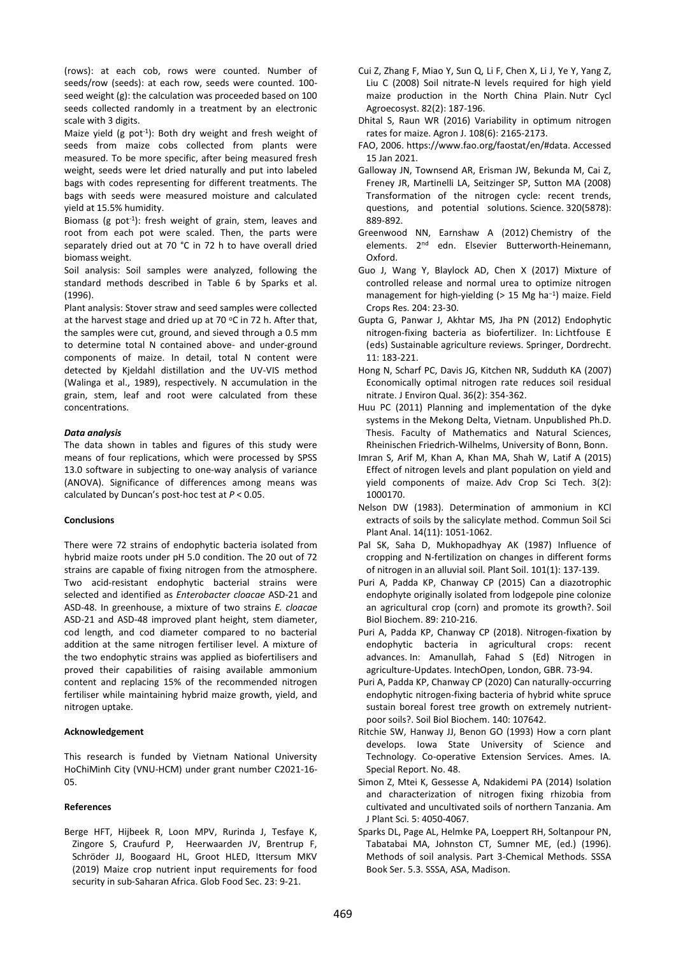(rows): at each cob, rows were counted. Number of seeds/row (seeds): at each row, seeds were counted. 100 seed weight (g): the calculation was proceeded based on 100 seeds collected randomly in a treatment by an electronic scale with 3 digits.

Maize yield (g pot<sup>-1</sup>): Both dry weight and fresh weight of seeds from maize cobs collected from plants were measured. To be more specific, after being measured fresh weight, seeds were let dried naturally and put into labeled bags with codes representing for different treatments. The bags with seeds were measured moisture and calculated yield at 15.5% humidity.

Biomass (g pot<sup>-1</sup>): fresh weight of grain, stem, leaves and root from each pot were scaled. Then, the parts were separately dried out at 70 °C in 72 h to have overall dried biomass weight.

Soil analysis: Soil samples were analyzed, following the standard methods described in Table 6 by Sparks et al. (1996).

Plant analysis: Stover straw and seed samples were collected at the harvest stage and dried up at 70  $\degree$ C in 72 h. After that, the samples were cut, ground, and sieved through a 0.5 mm to determine total N contained above- and under-ground components of maize. In detail, total N content were detected by Kjeldahl distillation and the UV-VIS method (Walinga et al., 1989), respectively. N accumulation in the grain, stem, leaf and root were calculated from these concentrations.

## *Data analysis*

The data shown in tables and figures of this study were means of four replications, which were processed by SPSS 13.0 software in subjecting to one-way analysis of variance (ANOVA). Significance of differences among means was calculated by Duncan's post-hoc test at *P* < 0.05.

# **Conclusions**

There were 72 strains of endophytic bacteria isolated from hybrid maize roots under pH 5.0 condition. The 20 out of 72 strains are capable of fixing nitrogen from the atmosphere. Two acid-resistant endophytic bacterial strains were selected and identified as *Enterobacter cloacae* ASD-21 and ASD-48. In greenhouse, a mixture of two strains *E. cloacae* ASD-21 and ASD-48 improved plant height, stem diameter, cod length, and cod diameter compared to no bacterial addition at the same nitrogen fertiliser level. A mixture of the two endophytic strains was applied as biofertilisers and proved their capabilities of raising available ammonium content and replacing 15% of the recommended nitrogen fertiliser while maintaining hybrid maize growth, yield, and nitrogen uptake.

#### **Acknowledgement**

This research is funded by Vietnam National University HoChiMinh City (VNU-HCM) under grant number C2021-16- 05.

## **References**

Berge HFT, Hijbeek R, Loon MPV, Rurinda J, Tesfaye K, Zingore S, Craufurd P, Heerwaarden JV, Brentrup F, Schröder JJ, Boogaard HL, Groot HLED, Ittersum MKV (2019) Maize crop nutrient input requirements for food security in sub-Saharan Africa. Glob Food Sec. 23: 9-21.

- Cui Z, Zhang F, Miao Y, Sun Q, Li F, Chen X, Li J, Ye Y, Yang Z, Liu C (2008) Soil nitrate-N levels required for high yield maize production in the North China Plain. Nutr Cycl Agroecosyst. 82(2): 187-196.
- Dhital S, Raun WR (2016) Variability in optimum nitrogen rates for maize. Agron J. 108(6): 2165-2173.
- FAO, 2006. https://www.fao.org/faostat/en/#data. Accessed 15 Jan 2021.
- Galloway JN, Townsend AR, Erisman JW, Bekunda M, Cai Z, Freney JR, Martinelli LA, Seitzinger SP, Sutton MA (2008) Transformation of the nitrogen cycle: recent trends, questions, and potential solutions. Science. 320(5878): 889-892.
- Greenwood NN, Earnshaw A (2012) Chemistry of the elements. 2<sup>nd</sup> edn. Elsevier Butterworth-Heinemann, Oxford.
- Guo J, Wang Y, Blaylock AD, Chen X (2017) Mixture of controlled release and normal urea to optimize nitrogen management for high-yielding (> 15 Mg ha<sup>-1</sup>) maize. Field Crops Res. 204: 23-30.
- Gupta G, Panwar J, Akhtar MS, Jha PN (2012) Endophytic nitrogen-fixing bacteria as biofertilizer. In: Lichtfouse E (eds) Sustainable agriculture reviews. Springer, Dordrecht.  $11: 183 - 221$
- Hong N, Scharf PC, Davis JG, Kitchen NR, Sudduth KA (2007) Economically optimal nitrogen rate reduces soil residual nitrate. J Environ Qual. 36(2): 354-362.
- Huu PC (2011) Planning and implementation of the dyke systems in the Mekong Delta, Vietnam. Unpublished Ph.D. Thesis. Faculty of Mathematics and Natural Sciences, Rheinischen Friedrich-Wilhelms, University of Bonn, Bonn.
- Imran S, Arif M, Khan A, Khan MA, Shah W, Latif A (2015) Effect of nitrogen levels and plant population on yield and yield components of maize. Adv Crop Sci Tech. 3(2): 1000170.
- Nelson DW (1983). Determination of ammonium in KCl extracts of soils by the salicylate method. Commun Soil Sci Plant Anal. 14(11): 1051-1062.
- Pal SK, Saha D, Mukhopadhyay AK (1987) Influence of cropping and N-fertilization on changes in different forms of nitrogen in an alluvial soil. Plant Soil. 101(1): 137-139.
- Puri A, Padda KP, Chanway CP (2015) Can a diazotrophic endophyte originally isolated from lodgepole pine colonize an agricultural crop (corn) and promote its growth?. Soil Biol Biochem. 89: 210-216.
- Puri A, Padda KP, Chanway CP (2018). Nitrogen-fixation by endophytic bacteria in agricultural crops: recent advances. In: Amanullah, Fahad S (Ed) Nitrogen in agriculture-Updates. IntechOpen, London, GBR. 73-94.
- Puri A, Padda KP, Chanway CP (2020) Can naturally-occurring endophytic nitrogen-fixing bacteria of hybrid white spruce sustain boreal forest tree growth on extremely nutrientpoor soils?. Soil Biol Biochem. 140: 107642.
- Ritchie SW, Hanway JJ, Benon GO (1993) How a corn plant develops. Iowa State University of Science and Technology. Co-operative Extension Services. Ames. IA. Special Report. No. 48.
- Simon Z, Mtei K, Gessesse A, Ndakidemi PA (2014) Isolation and characterization of nitrogen fixing rhizobia from cultivated and uncultivated soils of northern Tanzania. Am J Plant Sci. 5: 4050-4067.
- Sparks DL, Page AL, Helmke PA, Loeppert RH, Soltanpour PN, Tabatabai MA, Johnston CT, Sumner ME, (ed.) (1996). Methods of soil analysis. Part 3-Chemical Methods. SSSA Book Ser. 5.3. SSSA, ASA, Madison.